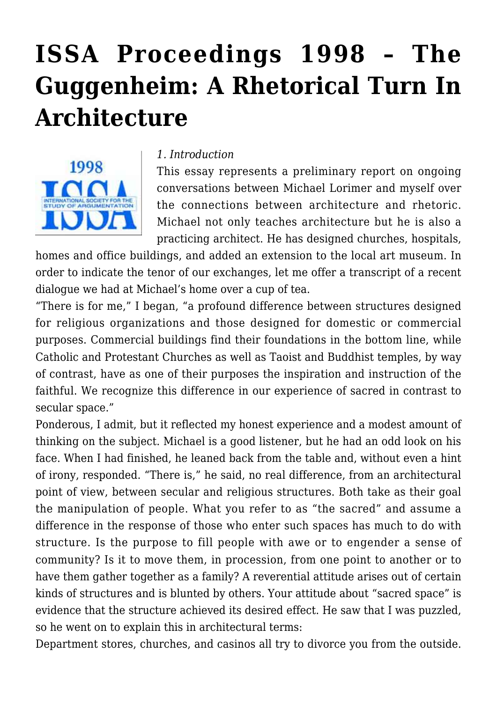# **[ISSA Proceedings 1998 – The](https://rozenbergquarterly.com/issa-proceedings-1998-the-guggenheim-a-rhetorical-turn-in-architecture/) [Guggenheim: A Rhetorical Turn In](https://rozenbergquarterly.com/issa-proceedings-1998-the-guggenheim-a-rhetorical-turn-in-architecture/) [Architecture](https://rozenbergquarterly.com/issa-proceedings-1998-the-guggenheim-a-rhetorical-turn-in-architecture/)**



#### *1. Introduction*

This essay represents a preliminary report on ongoing conversations between Michael Lorimer and myself over the connections between architecture and rhetoric. Michael not only teaches architecture but he is also a practicing architect. He has designed churches, hospitals,

homes and office buildings, and added an extension to the local art museum. In order to indicate the tenor of our exchanges, let me offer a transcript of a recent dialogue we had at Michael's home over a cup of tea.

"There is for me," I began, "a profound difference between structures designed for religious organizations and those designed for domestic or commercial purposes. Commercial buildings find their foundations in the bottom line, while Catholic and Protestant Churches as well as Taoist and Buddhist temples, by way of contrast, have as one of their purposes the inspiration and instruction of the faithful. We recognize this difference in our experience of sacred in contrast to secular space."

Ponderous, I admit, but it reflected my honest experience and a modest amount of thinking on the subject. Michael is a good listener, but he had an odd look on his face. When I had finished, he leaned back from the table and, without even a hint of irony, responded. "There is," he said, no real difference, from an architectural point of view, between secular and religious structures. Both take as their goal the manipulation of people. What you refer to as "the sacred" and assume a difference in the response of those who enter such spaces has much to do with structure. Is the purpose to fill people with awe or to engender a sense of community? Is it to move them, in procession, from one point to another or to have them gather together as a family? A reverential attitude arises out of certain kinds of structures and is blunted by others. Your attitude about "sacred space" is evidence that the structure achieved its desired effect. He saw that I was puzzled, so he went on to explain this in architectural terms:

Department stores, churches, and casinos all try to divorce you from the outside.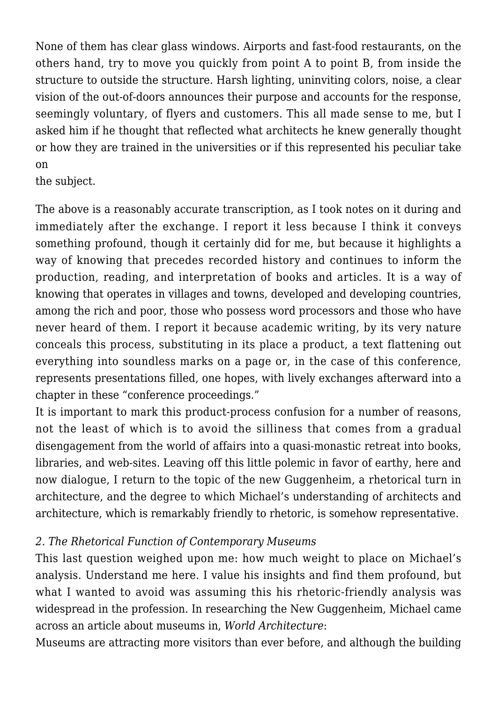None of them has clear glass windows. Airports and fast-food restaurants, on the others hand, try to move you quickly from point A to point B, from inside the structure to outside the structure. Harsh lighting, uninviting colors, noise, a clear vision of the out-of-doors announces their purpose and accounts for the response, seemingly voluntary, of flyers and customers. This all made sense to me, but I asked him if he thought that reflected what architects he knew generally thought or how they are trained in the universities or if this represented his peculiar take on

the subject.

The above is a reasonably accurate transcription, as I took notes on it during and immediately after the exchange. I report it less because I think it conveys something profound, though it certainly did for me, but because it highlights a way of knowing that precedes recorded history and continues to inform the production, reading, and interpretation of books and articles. It is a way of knowing that operates in villages and towns, developed and developing countries, among the rich and poor, those who possess word processors and those who have never heard of them. I report it because academic writing, by its very nature conceals this process, substituting in its place a product, a text flattening out everything into soundless marks on a page or, in the case of this conference, represents presentations filled, one hopes, with lively exchanges afterward into a chapter in these "conference proceedings."

It is important to mark this product-process confusion for a number of reasons, not the least of which is to avoid the silliness that comes from a gradual disengagement from the world of affairs into a quasi-monastic retreat into books, libraries, and web-sites. Leaving off this little polemic in favor of earthy, here and now dialogue, I return to the topic of the new Guggenheim, a rhetorical turn in architecture, and the degree to which Michael's understanding of architects and architecture, which is remarkably friendly to rhetoric, is somehow representative.

# *2. The Rhetorical Function of Contemporary Museums*

This last question weighed upon me: how much weight to place on Michael's analysis. Understand me here. I value his insights and find them profound, but what I wanted to avoid was assuming this his rhetoric-friendly analysis was widespread in the profession. In researching the New Guggenheim, Michael came across an article about museums in, *World Architecture*:

Museums are attracting more visitors than ever before, and although the building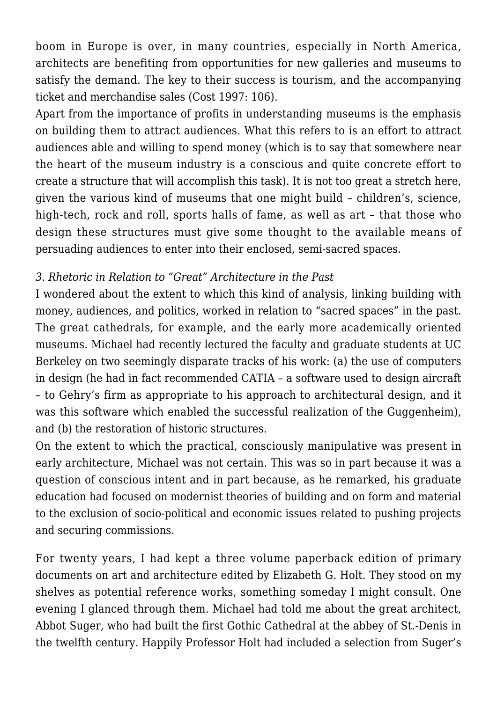boom in Europe is over, in many countries, especially in North America, architects are benefiting from opportunities for new galleries and museums to satisfy the demand. The key to their success is tourism, and the accompanying ticket and merchandise sales (Cost 1997: 106).

Apart from the importance of profits in understanding museums is the emphasis on building them to attract audiences. What this refers to is an effort to attract audiences able and willing to spend money (which is to say that somewhere near the heart of the museum industry is a conscious and quite concrete effort to create a structure that will accomplish this task). It is not too great a stretch here, given the various kind of museums that one might build – children's, science, high-tech, rock and roll, sports halls of fame, as well as art – that those who design these structures must give some thought to the available means of persuading audiences to enter into their enclosed, semi-sacred spaces.

## *3. Rhetoric in Relation to "Great" Architecture in the Past*

I wondered about the extent to which this kind of analysis, linking building with money, audiences, and politics, worked in relation to "sacred spaces" in the past. The great cathedrals, for example, and the early more academically oriented museums. Michael had recently lectured the faculty and graduate students at UC Berkeley on two seemingly disparate tracks of his work: (a) the use of computers in design (he had in fact recommended CATIA – a software used to design aircraft – to Gehry's firm as appropriate to his approach to architectural design, and it was this software which enabled the successful realization of the Guggenheim), and (b) the restoration of historic structures.

On the extent to which the practical, consciously manipulative was present in early architecture, Michael was not certain. This was so in part because it was a question of conscious intent and in part because, as he remarked, his graduate education had focused on modernist theories of building and on form and material to the exclusion of socio-political and economic issues related to pushing projects and securing commissions.

For twenty years, I had kept a three volume paperback edition of primary documents on art and architecture edited by Elizabeth G. Holt. They stood on my shelves as potential reference works, something someday I might consult. One evening I glanced through them. Michael had told me about the great architect, Abbot Suger, who had built the first Gothic Cathedral at the abbey of St.-Denis in the twelfth century. Happily Professor Holt had included a selection from Suger's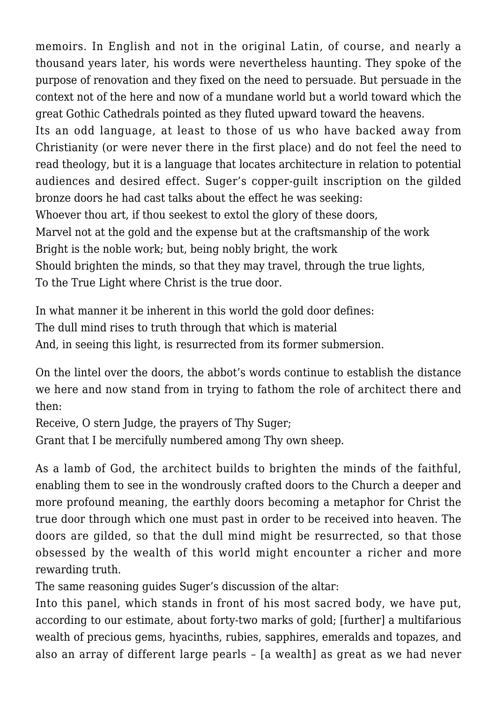memoirs. In English and not in the original Latin, of course, and nearly a thousand years later, his words were nevertheless haunting. They spoke of the purpose of renovation and they fixed on the need to persuade. But persuade in the context not of the here and now of a mundane world but a world toward which the great Gothic Cathedrals pointed as they fluted upward toward the heavens.

Its an odd language, at least to those of us who have backed away from Christianity (or were never there in the first place) and do not feel the need to read theology, but it is a language that locates architecture in relation to potential audiences and desired effect. Suger's copper-guilt inscription on the gilded bronze doors he had cast talks about the effect he was seeking:

Whoever thou art, if thou seekest to extol the glory of these doors,

Marvel not at the gold and the expense but at the craftsmanship of the work Bright is the noble work; but, being nobly bright, the work

Should brighten the minds, so that they may travel, through the true lights,

To the True Light where Christ is the true door.

In what manner it be inherent in this world the gold door defines: The dull mind rises to truth through that which is material And, in seeing this light, is resurrected from its former submersion.

On the lintel over the doors, the abbot's words continue to establish the distance we here and now stand from in trying to fathom the role of architect there and then:

Receive, O stern Judge, the prayers of Thy Suger;

Grant that I be mercifully numbered among Thy own sheep.

As a lamb of God, the architect builds to brighten the minds of the faithful, enabling them to see in the wondrously crafted doors to the Church a deeper and more profound meaning, the earthly doors becoming a metaphor for Christ the true door through which one must past in order to be received into heaven. The doors are gilded, so that the dull mind might be resurrected, so that those obsessed by the wealth of this world might encounter a richer and more rewarding truth.

The same reasoning guides Suger's discussion of the altar:

Into this panel, which stands in front of his most sacred body, we have put, according to our estimate, about forty-two marks of gold; [further] a multifarious wealth of precious gems, hyacinths, rubies, sapphires, emeralds and topazes, and also an array of different large pearls – [a wealth] as great as we had never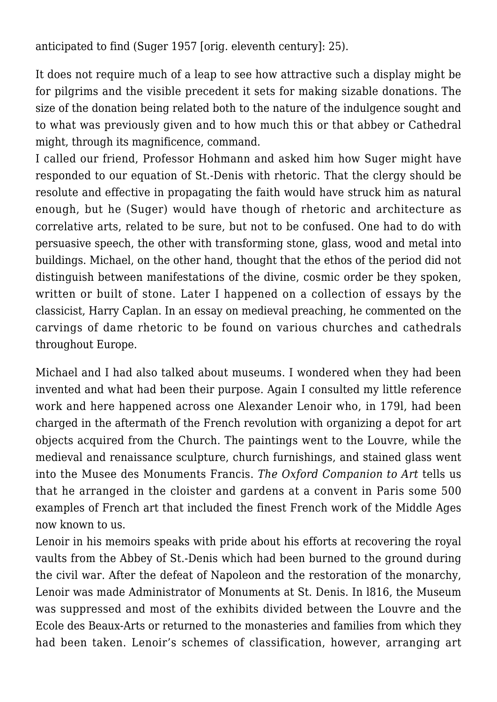anticipated to find (Suger 1957 [orig. eleventh century]: 25).

It does not require much of a leap to see how attractive such a display might be for pilgrims and the visible precedent it sets for making sizable donations. The size of the donation being related both to the nature of the indulgence sought and to what was previously given and to how much this or that abbey or Cathedral might, through its magnificence, command.

I called our friend, Professor Hohmann and asked him how Suger might have responded to our equation of St.-Denis with rhetoric. That the clergy should be resolute and effective in propagating the faith would have struck him as natural enough, but he (Suger) would have though of rhetoric and architecture as correlative arts, related to be sure, but not to be confused. One had to do with persuasive speech, the other with transforming stone, glass, wood and metal into buildings. Michael, on the other hand, thought that the ethos of the period did not distinguish between manifestations of the divine, cosmic order be they spoken, written or built of stone. Later I happened on a collection of essays by the classicist, Harry Caplan. In an essay on medieval preaching, he commented on the carvings of dame rhetoric to be found on various churches and cathedrals throughout Europe.

Michael and I had also talked about museums. I wondered when they had been invented and what had been their purpose. Again I consulted my little reference work and here happened across one Alexander Lenoir who, in 179l, had been charged in the aftermath of the French revolution with organizing a depot for art objects acquired from the Church. The paintings went to the Louvre, while the medieval and renaissance sculpture, church furnishings, and stained glass went into the Musee des Monuments Francis. *The Oxford Companion to Art* tells us that he arranged in the cloister and gardens at a convent in Paris some 500 examples of French art that included the finest French work of the Middle Ages now known to us.

Lenoir in his memoirs speaks with pride about his efforts at recovering the royal vaults from the Abbey of St.-Denis which had been burned to the ground during the civil war. After the defeat of Napoleon and the restoration of the monarchy, Lenoir was made Administrator of Monuments at St. Denis. In l816, the Museum was suppressed and most of the exhibits divided between the Louvre and the Ecole des Beaux-Arts or returned to the monasteries and families from which they had been taken. Lenoir's schemes of classification, however, arranging art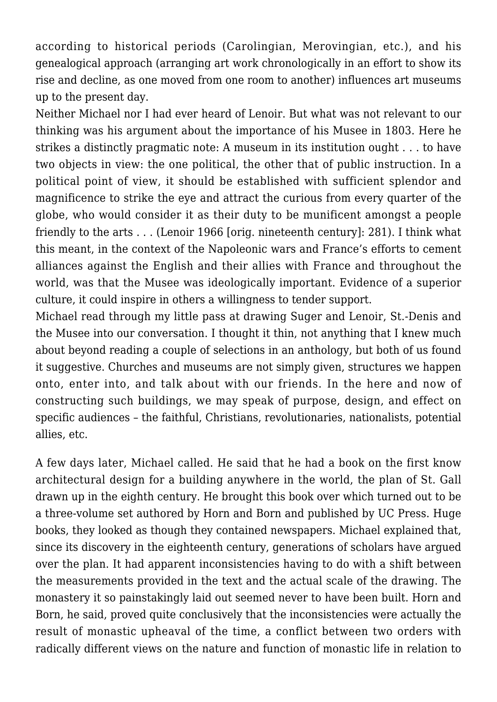according to historical periods (Carolingian, Merovingian, etc.), and his genealogical approach (arranging art work chronologically in an effort to show its rise and decline, as one moved from one room to another) influences art museums up to the present day.

Neither Michael nor I had ever heard of Lenoir. But what was not relevant to our thinking was his argument about the importance of his Musee in 1803. Here he strikes a distinctly pragmatic note: A museum in its institution ought . . . to have two objects in view: the one political, the other that of public instruction. In a political point of view, it should be established with sufficient splendor and magnificence to strike the eye and attract the curious from every quarter of the globe, who would consider it as their duty to be munificent amongst a people friendly to the arts . . . (Lenoir 1966 [orig. nineteenth century]: 281). I think what this meant, in the context of the Napoleonic wars and France's efforts to cement alliances against the English and their allies with France and throughout the world, was that the Musee was ideologically important. Evidence of a superior culture, it could inspire in others a willingness to tender support.

Michael read through my little pass at drawing Suger and Lenoir, St.-Denis and the Musee into our conversation. I thought it thin, not anything that I knew much about beyond reading a couple of selections in an anthology, but both of us found it suggestive. Churches and museums are not simply given, structures we happen onto, enter into, and talk about with our friends. In the here and now of constructing such buildings, we may speak of purpose, design, and effect on specific audiences – the faithful, Christians, revolutionaries, nationalists, potential allies, etc.

A few days later, Michael called. He said that he had a book on the first know architectural design for a building anywhere in the world, the plan of St. Gall drawn up in the eighth century. He brought this book over which turned out to be a three-volume set authored by Horn and Born and published by UC Press. Huge books, they looked as though they contained newspapers. Michael explained that, since its discovery in the eighteenth century, generations of scholars have argued over the plan. It had apparent inconsistencies having to do with a shift between the measurements provided in the text and the actual scale of the drawing. The monastery it so painstakingly laid out seemed never to have been built. Horn and Born, he said, proved quite conclusively that the inconsistencies were actually the result of monastic upheaval of the time, a conflict between two orders with radically different views on the nature and function of monastic life in relation to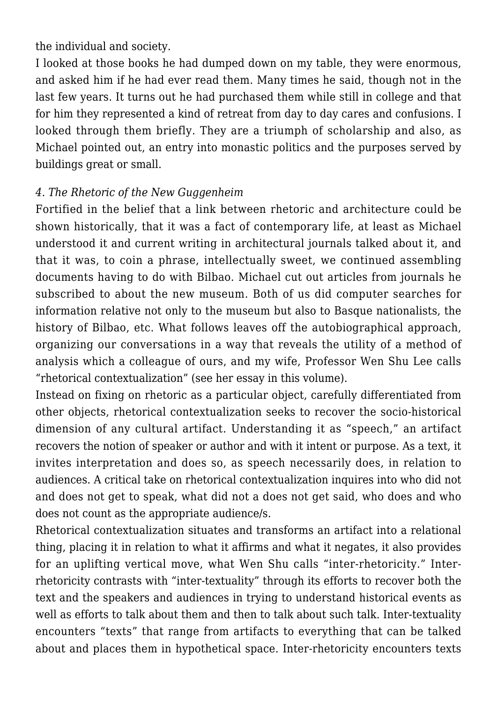the individual and society.

I looked at those books he had dumped down on my table, they were enormous, and asked him if he had ever read them. Many times he said, though not in the last few years. It turns out he had purchased them while still in college and that for him they represented a kind of retreat from day to day cares and confusions. I looked through them briefly. They are a triumph of scholarship and also, as Michael pointed out, an entry into monastic politics and the purposes served by buildings great or small.

## *4. The Rhetoric of the New Guggenheim*

Fortified in the belief that a link between rhetoric and architecture could be shown historically, that it was a fact of contemporary life, at least as Michael understood it and current writing in architectural journals talked about it, and that it was, to coin a phrase, intellectually sweet, we continued assembling documents having to do with Bilbao. Michael cut out articles from journals he subscribed to about the new museum. Both of us did computer searches for information relative not only to the museum but also to Basque nationalists, the history of Bilbao, etc. What follows leaves off the autobiographical approach, organizing our conversations in a way that reveals the utility of a method of analysis which a colleague of ours, and my wife, Professor Wen Shu Lee calls "rhetorical contextualization" (see her essay in this volume).

Instead on fixing on rhetoric as a particular object, carefully differentiated from other objects, rhetorical contextualization seeks to recover the socio-historical dimension of any cultural artifact. Understanding it as "speech," an artifact recovers the notion of speaker or author and with it intent or purpose. As a text, it invites interpretation and does so, as speech necessarily does, in relation to audiences. A critical take on rhetorical contextualization inquires into who did not and does not get to speak, what did not a does not get said, who does and who does not count as the appropriate audience/s.

Rhetorical contextualization situates and transforms an artifact into a relational thing, placing it in relation to what it affirms and what it negates, it also provides for an uplifting vertical move, what Wen Shu calls "inter-rhetoricity." Interrhetoricity contrasts with "inter-textuality" through its efforts to recover both the text and the speakers and audiences in trying to understand historical events as well as efforts to talk about them and then to talk about such talk. Inter-textuality encounters "texts" that range from artifacts to everything that can be talked about and places them in hypothetical space. Inter-rhetoricity encounters texts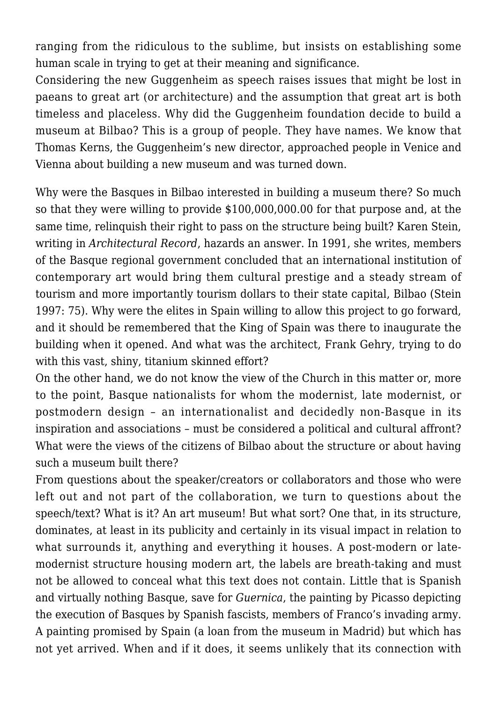ranging from the ridiculous to the sublime, but insists on establishing some human scale in trying to get at their meaning and significance.

Considering the new Guggenheim as speech raises issues that might be lost in paeans to great art (or architecture) and the assumption that great art is both timeless and placeless. Why did the Guggenheim foundation decide to build a museum at Bilbao? This is a group of people. They have names. We know that Thomas Kerns, the Guggenheim's new director, approached people in Venice and Vienna about building a new museum and was turned down.

Why were the Basques in Bilbao interested in building a museum there? So much so that they were willing to provide \$100,000,000.00 for that purpose and, at the same time, relinquish their right to pass on the structure being built? Karen Stein, writing in *Architectural Record*, hazards an answer. In 1991, she writes, members of the Basque regional government concluded that an international institution of contemporary art would bring them cultural prestige and a steady stream of tourism and more importantly tourism dollars to their state capital, Bilbao (Stein 1997: 75). Why were the elites in Spain willing to allow this project to go forward, and it should be remembered that the King of Spain was there to inaugurate the building when it opened. And what was the architect, Frank Gehry, trying to do with this vast, shiny, titanium skinned effort?

On the other hand, we do not know the view of the Church in this matter or, more to the point, Basque nationalists for whom the modernist, late modernist, or postmodern design – an internationalist and decidedly non-Basque in its inspiration and associations – must be considered a political and cultural affront? What were the views of the citizens of Bilbao about the structure or about having such a museum built there?

From questions about the speaker/creators or collaborators and those who were left out and not part of the collaboration, we turn to questions about the speech/text? What is it? An art museum! But what sort? One that, in its structure, dominates, at least in its publicity and certainly in its visual impact in relation to what surrounds it, anything and everything it houses. A post-modern or latemodernist structure housing modern art, the labels are breath-taking and must not be allowed to conceal what this text does not contain. Little that is Spanish and virtually nothing Basque, save for *Guernica*, the painting by Picasso depicting the execution of Basques by Spanish fascists, members of Franco's invading army. A painting promised by Spain (a loan from the museum in Madrid) but which has not yet arrived. When and if it does, it seems unlikely that its connection with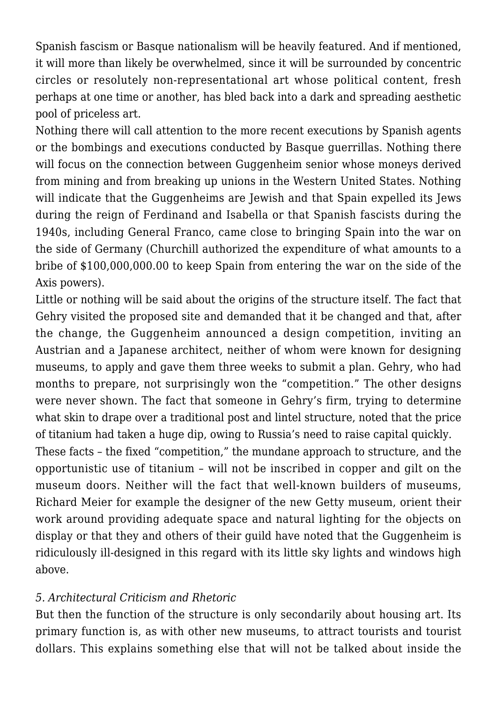Spanish fascism or Basque nationalism will be heavily featured. And if mentioned, it will more than likely be overwhelmed, since it will be surrounded by concentric circles or resolutely non-representational art whose political content, fresh perhaps at one time or another, has bled back into a dark and spreading aesthetic pool of priceless art.

Nothing there will call attention to the more recent executions by Spanish agents or the bombings and executions conducted by Basque guerrillas. Nothing there will focus on the connection between Guggenheim senior whose moneys derived from mining and from breaking up unions in the Western United States. Nothing will indicate that the Guggenheims are Jewish and that Spain expelled its Jews during the reign of Ferdinand and Isabella or that Spanish fascists during the 1940s, including General Franco, came close to bringing Spain into the war on the side of Germany (Churchill authorized the expenditure of what amounts to a bribe of \$100,000,000.00 to keep Spain from entering the war on the side of the Axis powers).

Little or nothing will be said about the origins of the structure itself. The fact that Gehry visited the proposed site and demanded that it be changed and that, after the change, the Guggenheim announced a design competition, inviting an Austrian and a Japanese architect, neither of whom were known for designing museums, to apply and gave them three weeks to submit a plan. Gehry, who had months to prepare, not surprisingly won the "competition." The other designs were never shown. The fact that someone in Gehry's firm, trying to determine what skin to drape over a traditional post and lintel structure, noted that the price of titanium had taken a huge dip, owing to Russia's need to raise capital quickly.

These facts – the fixed "competition," the mundane approach to structure, and the opportunistic use of titanium – will not be inscribed in copper and gilt on the museum doors. Neither will the fact that well-known builders of museums, Richard Meier for example the designer of the new Getty museum, orient their work around providing adequate space and natural lighting for the objects on display or that they and others of their guild have noted that the Guggenheim is ridiculously ill-designed in this regard with its little sky lights and windows high above.

## *5. Architectural Criticism and Rhetoric*

But then the function of the structure is only secondarily about housing art. Its primary function is, as with other new museums, to attract tourists and tourist dollars. This explains something else that will not be talked about inside the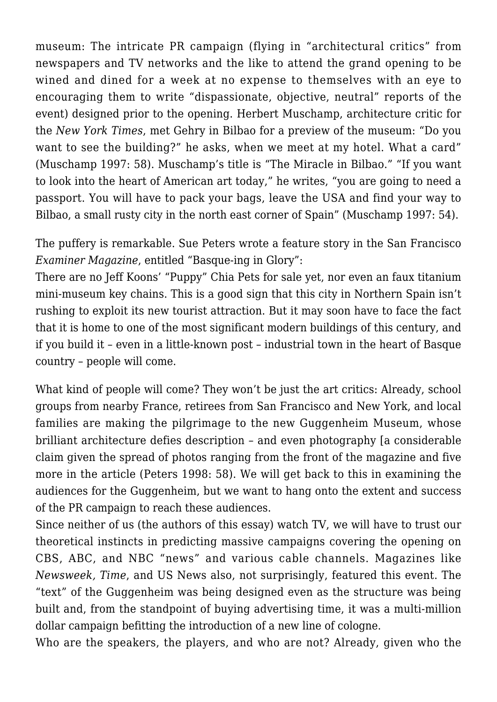museum: The intricate PR campaign (flying in "architectural critics" from newspapers and TV networks and the like to attend the grand opening to be wined and dined for a week at no expense to themselves with an eye to encouraging them to write "dispassionate, objective, neutral" reports of the event) designed prior to the opening. Herbert Muschamp, architecture critic for the *New York Times*, met Gehry in Bilbao for a preview of the museum: "Do you want to see the building?" he asks, when we meet at my hotel. What a card" (Muschamp 1997: 58). Muschamp's title is "The Miracle in Bilbao." "If you want to look into the heart of American art today," he writes, "you are going to need a passport. You will have to pack your bags, leave the USA and find your way to Bilbao, a small rusty city in the north east corner of Spain" (Muschamp 1997: 54).

The puffery is remarkable. Sue Peters wrote a feature story in the San Francisco *Examiner Magazine*, entitled "Basque-ing in Glory":

There are no Jeff Koons' "Puppy" Chia Pets for sale yet, nor even an faux titanium mini-museum key chains. This is a good sign that this city in Northern Spain isn't rushing to exploit its new tourist attraction. But it may soon have to face the fact that it is home to one of the most significant modern buildings of this century, and if you build it – even in a little-known post – industrial town in the heart of Basque country – people will come.

What kind of people will come? They won't be just the art critics: Already, school groups from nearby France, retirees from San Francisco and New York, and local families are making the pilgrimage to the new Guggenheim Museum, whose brilliant architecture defies description – and even photography [a considerable claim given the spread of photos ranging from the front of the magazine and five more in the article (Peters 1998: 58). We will get back to this in examining the audiences for the Guggenheim, but we want to hang onto the extent and success of the PR campaign to reach these audiences.

Since neither of us (the authors of this essay) watch TV, we will have to trust our theoretical instincts in predicting massive campaigns covering the opening on CBS, ABC, and NBC "news" and various cable channels. Magazines like *Newsweek, Time*, and US News also, not surprisingly, featured this event. The "text" of the Guggenheim was being designed even as the structure was being built and, from the standpoint of buying advertising time, it was a multi-million dollar campaign befitting the introduction of a new line of cologne.

Who are the speakers, the players, and who are not? Already, given who the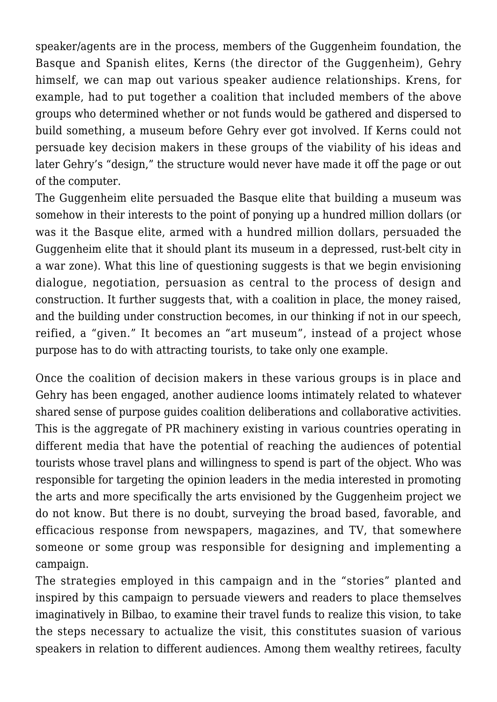speaker/agents are in the process, members of the Guggenheim foundation, the Basque and Spanish elites, Kerns (the director of the Guggenheim), Gehry himself, we can map out various speaker audience relationships. Krens, for example, had to put together a coalition that included members of the above groups who determined whether or not funds would be gathered and dispersed to build something, a museum before Gehry ever got involved. If Kerns could not persuade key decision makers in these groups of the viability of his ideas and later Gehry's "design," the structure would never have made it off the page or out of the computer.

The Guggenheim elite persuaded the Basque elite that building a museum was somehow in their interests to the point of ponying up a hundred million dollars (or was it the Basque elite, armed with a hundred million dollars, persuaded the Guggenheim elite that it should plant its museum in a depressed, rust-belt city in a war zone). What this line of questioning suggests is that we begin envisioning dialogue, negotiation, persuasion as central to the process of design and construction. It further suggests that, with a coalition in place, the money raised, and the building under construction becomes, in our thinking if not in our speech, reified, a "given." It becomes an "art museum", instead of a project whose purpose has to do with attracting tourists, to take only one example.

Once the coalition of decision makers in these various groups is in place and Gehry has been engaged, another audience looms intimately related to whatever shared sense of purpose guides coalition deliberations and collaborative activities. This is the aggregate of PR machinery existing in various countries operating in different media that have the potential of reaching the audiences of potential tourists whose travel plans and willingness to spend is part of the object. Who was responsible for targeting the opinion leaders in the media interested in promoting the arts and more specifically the arts envisioned by the Guggenheim project we do not know. But there is no doubt, surveying the broad based, favorable, and efficacious response from newspapers, magazines, and TV, that somewhere someone or some group was responsible for designing and implementing a campaign.

The strategies employed in this campaign and in the "stories" planted and inspired by this campaign to persuade viewers and readers to place themselves imaginatively in Bilbao, to examine their travel funds to realize this vision, to take the steps necessary to actualize the visit, this constitutes suasion of various speakers in relation to different audiences. Among them wealthy retirees, faculty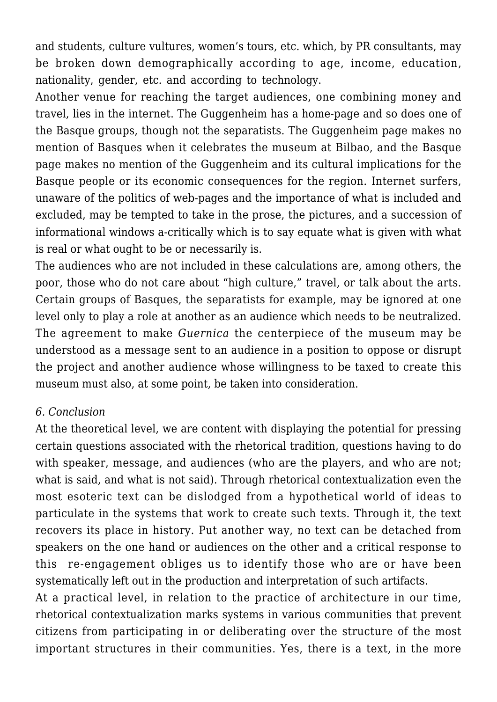and students, culture vultures, women's tours, etc. which, by PR consultants, may be broken down demographically according to age, income, education, nationality, gender, etc. and according to technology.

Another venue for reaching the target audiences, one combining money and travel, lies in the internet. The Guggenheim has a home-page and so does one of the Basque groups, though not the separatists. The Guggenheim page makes no mention of Basques when it celebrates the museum at Bilbao, and the Basque page makes no mention of the Guggenheim and its cultural implications for the Basque people or its economic consequences for the region. Internet surfers, unaware of the politics of web-pages and the importance of what is included and excluded, may be tempted to take in the prose, the pictures, and a succession of informational windows a-critically which is to say equate what is given with what is real or what ought to be or necessarily is.

The audiences who are not included in these calculations are, among others, the poor, those who do not care about "high culture," travel, or talk about the arts. Certain groups of Basques, the separatists for example, may be ignored at one level only to play a role at another as an audience which needs to be neutralized. The agreement to make *Guernica* the centerpiece of the museum may be understood as a message sent to an audience in a position to oppose or disrupt the project and another audience whose willingness to be taxed to create this museum must also, at some point, be taken into consideration.

#### *6. Conclusion*

At the theoretical level, we are content with displaying the potential for pressing certain questions associated with the rhetorical tradition, questions having to do with speaker, message, and audiences (who are the players, and who are not; what is said, and what is not said). Through rhetorical contextualization even the most esoteric text can be dislodged from a hypothetical world of ideas to particulate in the systems that work to create such texts. Through it, the text recovers its place in history. Put another way, no text can be detached from speakers on the one hand or audiences on the other and a critical response to this re-engagement obliges us to identify those who are or have been systematically left out in the production and interpretation of such artifacts.

At a practical level, in relation to the practice of architecture in our time, rhetorical contextualization marks systems in various communities that prevent citizens from participating in or deliberating over the structure of the most important structures in their communities. Yes, there is a text, in the more